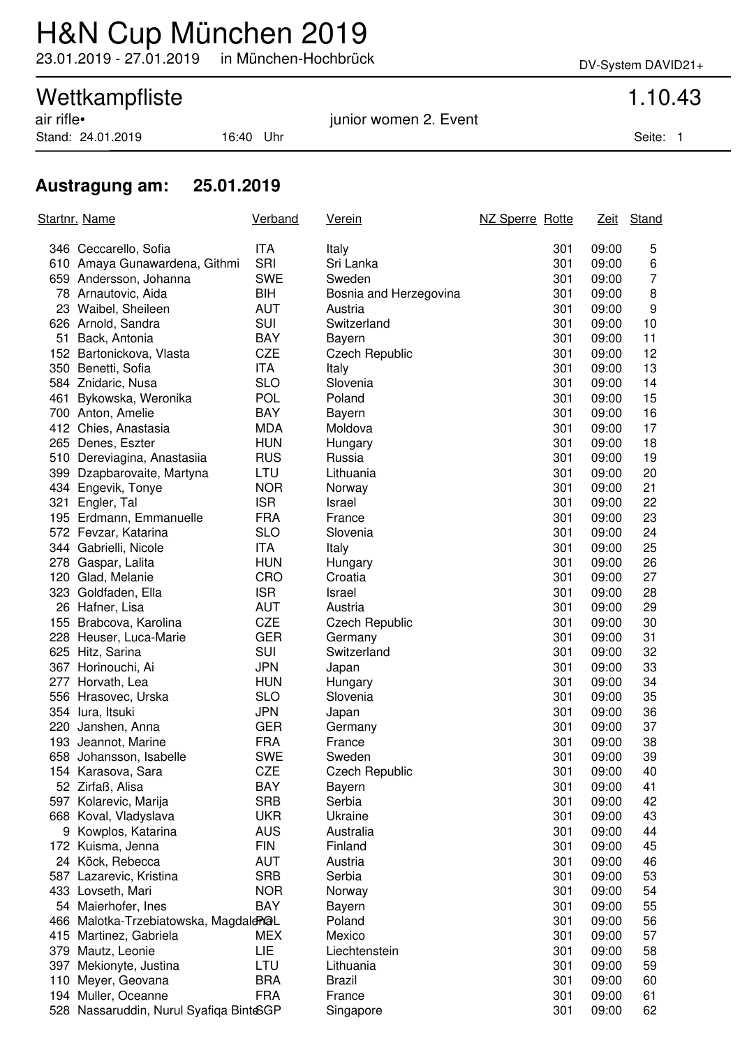# H&N Cup München 2019

23.01.2019 - 27.01.2019 in München-Hochbrück DV-System DAVID21+

## Wettkampfliste 1.10.43

Stand: 24.01.2019 16:40 Uhr Seite: 1

air rifle• junior women 2. Event

### **Austragung am: 25.01.2019**

| Startnr. Name |                                         | <b>Verband</b> | <u>Verein</u>          | NZ Sperre Rotte |       | Zeit Stand     |
|---------------|-----------------------------------------|----------------|------------------------|-----------------|-------|----------------|
|               | 346 Ceccarello, Sofia                   | <b>ITA</b>     | Italy                  | 301             | 09:00 | 5              |
|               | 610 Amaya Gunawardena, Githmi           | <b>SRI</b>     | Sri Lanka              | 301             | 09:00 | 6              |
|               | 659 Andersson, Johanna                  | <b>SWE</b>     | Sweden                 | 301             | 09:00 | $\overline{7}$ |
|               | 78 Arnautovic, Aida                     | BIH            | Bosnia and Herzegovina | 301             | 09:00 | 8              |
|               | 23 Waibel, Sheileen                     | <b>AUT</b>     | Austria                | 301             | 09:00 | 9              |
|               | 626 Arnold, Sandra                      | SUI            | Switzerland            | 301             | 09:00 | 10             |
|               | 51 Back, Antonia                        | <b>BAY</b>     | Bayern                 | 301             | 09:00 | 11             |
|               | 152 Bartonickova, Vlasta                | <b>CZE</b>     | <b>Czech Republic</b>  | 301             | 09:00 | 12             |
|               | 350 Benetti, Sofia                      | ITA            | Italy                  | 301             | 09:00 | 13             |
|               | 584 Znidaric, Nusa                      | <b>SLO</b>     | Slovenia               | 301             | 09:00 | 14             |
|               | 461 Bykowska, Weronika                  | <b>POL</b>     | Poland                 | 301             | 09:00 | 15             |
|               | 700 Anton, Amelie                       | <b>BAY</b>     | Bayern                 | 301             | 09:00 | 16             |
|               | 412 Chies, Anastasia                    | <b>MDA</b>     | Moldova                | 301             | 09:00 | 17             |
|               | 265 Denes, Eszter                       | <b>HUN</b>     | Hungary                | 301             | 09:00 | 18             |
|               | 510 Dereviagina, Anastasiia             | <b>RUS</b>     | Russia                 | 301             | 09:00 | 19             |
|               | 399 Dzapbarovaite, Martyna              | LTU            | Lithuania              | 301             | 09:00 | 20             |
|               | 434 Engevik, Tonye                      | <b>NOR</b>     | Norway                 | 301             | 09:00 | 21             |
|               | 321 Engler, Tal                         | <b>ISR</b>     | Israel                 | 301             | 09:00 | 22             |
|               | 195 Erdmann, Emmanuelle                 | <b>FRA</b>     | France                 | 301             | 09:00 | 23             |
|               | 572 Fevzar, Katarina                    | <b>SLO</b>     | Slovenia               | 301             | 09:00 | 24             |
|               | 344 Gabrielli, Nicole                   | ITA            | Italy                  | 301             | 09:00 | 25             |
|               | 278 Gaspar, Lalita                      | <b>HUN</b>     | Hungary                | 301             | 09:00 | 26             |
|               | 120 Glad, Melanie                       | CRO            | Croatia                | 301             | 09:00 | 27             |
|               | 323 Goldfaden, Ella                     | <b>ISR</b>     | Israel                 | 301             | 09:00 | 28             |
|               | 26 Hafner, Lisa                         | <b>AUT</b>     | Austria                | 301             | 09:00 | 29             |
|               | 155 Brabcova, Karolina                  | <b>CZE</b>     | <b>Czech Republic</b>  | 301             | 09:00 | 30             |
|               | 228 Heuser, Luca-Marie                  | <b>GER</b>     | Germany                | 301             | 09:00 | 31             |
|               | 625 Hitz, Sarina                        | <b>SUI</b>     | Switzerland            | 301             | 09:00 | 32             |
|               | 367 Horinouchi, Ai                      | <b>JPN</b>     | Japan                  | 301             | 09:00 | 33             |
|               | 277 Horvath, Lea                        | <b>HUN</b>     | Hungary                | 301             | 09:00 | 34             |
|               | 556 Hrasovec, Urska                     | <b>SLO</b>     | Slovenia               | 301             | 09:00 | 35             |
|               | 354 lura, Itsuki                        | <b>JPN</b>     | Japan                  | 301             | 09:00 | 36             |
|               | 220 Janshen, Anna                       | <b>GER</b>     | Germany                | 301             | 09:00 | 37             |
|               | 193 Jeannot, Marine                     | <b>FRA</b>     | France                 | 301             | 09:00 | 38             |
|               | 658 Johansson, Isabelle                 | <b>SWE</b>     | Sweden                 | 301             | 09:00 | 39             |
|               | 154 Karasova, Sara                      | <b>CZE</b>     | Czech Republic         | 301             | 09:00 | 40             |
|               | 52 Zirfaß, Alisa                        | BAY            | Bayern                 | 301             | 09:00 | 41             |
|               | 597 Kolarevic, Marija                   | <b>SRB</b>     | Serbia                 | 301             | 09:00 | 42             |
|               | 668 Koval, Vladyslava                   | <b>UKR</b>     | Ukraine                | 301             | 09:00 | 43             |
|               | 9 Kowplos, Katarina                     | <b>AUS</b>     | Australia              | 301             | 09:00 | 44             |
|               | 172 Kuisma, Jenna                       | <b>FIN</b>     | Finland                | 301             | 09:00 | 45             |
|               | 24 Köck, Rebecca                        | <b>AUT</b>     | Austria                | 301             | 09:00 | 46             |
|               | 587 Lazarevic, Kristina                 | <b>SRB</b>     | Serbia                 | 301             | 09:00 | 53             |
|               | 433 Lovseth, Mari                       | <b>NOR</b>     | Norway                 | 301             | 09:00 | 54             |
|               | 54 Maierhofer, Ines                     | BAY            | Bayern                 | 301             | 09:00 | 55             |
|               | 466 Malotka-Trzebiatowska, Magdald POL  |                | Poland                 | 301             | 09:00 | 56             |
|               | 415 Martinez, Gabriela                  | <b>MEX</b>     | Mexico                 | 301             | 09:00 | 57             |
| 379           | Mautz, Leonie                           | LIE            | Liechtenstein          | 301             | 09:00 | 58             |
| 397           | Mekionyte, Justina                      | LTU            | Lithuania              | 301             | 09:00 | 59             |
| 110           | Meyer, Geovana                          | <b>BRA</b>     | <b>Brazil</b>          | 301             | 09:00 | 60             |
|               | 194 Muller, Oceanne                     | <b>FRA</b>     | France                 | 301             | 09:00 | 61             |
|               | 528 Nassaruddin, Nurul Syafiqa BinteSGP |                | Singapore              | 301             | 09:00 | 62             |